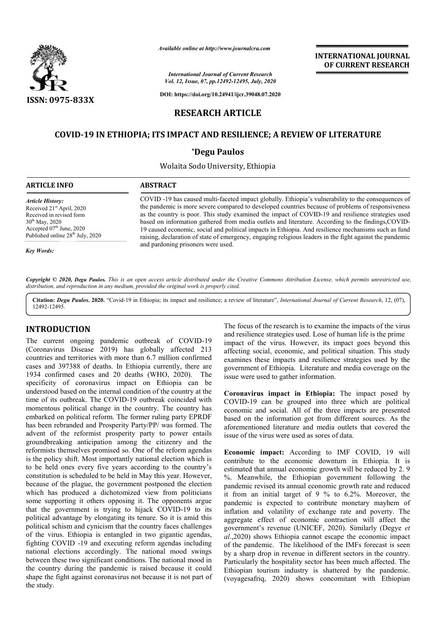

*Available online at http://www.journalcra.com*

*International Journal of Current Research Vol. 12, Issue, 07, pp.12492-12495, July, 2020* **INTERNATIONAL JOURNAL OF CURRENT RESEARCH**

**DOI: https://doi.org/10.24941/ijcr.39048.07.2020**

## **RESEARCH ARTICLE**

# **COVID-19 IN ETHIOPIA; ITS 19 IMPACT AND RESILIENCE; A REVIEW OF LITERATURE**

### **\*Degu Paulos**

Wolaita Sodo University, Ethiopia

### **ARTICLE INFO ABSTRACT**

*Article History:* Received 21<sup>st</sup> April, 2020 Received in revised form 30th May, 2020 Accepted 07<sup>th</sup> June, 2020 Published online 28<sup>th</sup> July, 2020

COVID -19 has caused multi-faceted impact globally. Ethiopia's vulnerability to the consequences of the pandemic is more severe compared to developed countries because of problems of responsiveness as the country is poor. This study examined the impact of COVID based on information gathered from media outlets and literature. According to the findings,COVID-19 caused economic, social and political impacts in Ethiopia. And resilience mechanisms such as fund 19 caused economic, social and political impacts in Ethiopia. And resilience mechanisms such as fund<br>raising, declaration of state of emergency, engaging religious leaders in the fight against the pandemic and pardoning prisoners were used. COVID -19 has caused multi-faceted impact globally. Ethiopia's vulnerability to the consequences of the pandemic is more severe compared to developed countries because of problems of responsiveness as the country is poor.

*Key Words:*

Copyright © 2020, Degu Paulos. This is an open access article distributed under the Creative Commons Attribution License, which permits unrestricted use, *distribution, and reproduction in any medium, provided the original work is properly cited.*

Citation: Degu Paulos. 2020. "Covid-19 in Ethiopia; its impact and resilience; a review of literature", International Journal of Current Research, 12, (07), 12492-12495.

## **INTRODUCTION**

The current ongoing pandemic outbreak of COVID (Coronavirus Disease 2019) has globally affected 213 countries and territories with more than 6.7 million confirmed cases and 397388 of deaths. In Ethiopia currently, there are 1934 confirmed cases and 20 deaths (WHO, 2020). The specificity of coronavirus impact on Ethiopia can be understood based on the internal condition of the country at the time of its outbreak. The COVID-19 outbreak coincided with time of its outbreak. The COVID-19 outbreak coincided with momentous political change in the country. The country has embarked on political reform. The former ruling party EPRDF has been rebranded and Prosperity Party/PP/ was formed. The advent of the reformist prosperity party to power entails groundbreaking anticipation among the citizenry and the reformists themselves promised so. One of the reform agendas is the policy shift. Most importantly national election which is to be held ones every five years according to the country's constitution is scheduled to be held in May this year. However, because of the plague, the government postponed the election which has produced a dichotomized view from politicians some supporting it others opposing it. The opponents argue that the government is trying to hijack COVID-19 to its political advantage by elongating its tenure. So it is amid this political schism and cynicism that the country faces challenges of the virus. Ethiopia is entangled in two gigantic agendas, fighting COVID -19 and executing reform agendas including national elections accordingly. The national mood swings between these two significant conditions. The national mood in the country during the pandemic is raised because it could shape the fight against coronavirus not because it is not part of the study. COVID-19 ves promised so. One of the reform agendas<br>Most importantly national election which is<br>very five years according to the country's<br>eduled to be held in May this year. However,<br>gue, the government postponed the election<br>ced The focus of the research is to examine the impacts of the research is to examinate the impacts of the research is consingened in two since the research is a sease 2019) has globally affected 213 impact of the virus. Howev

and resilience strategies used. Lose of human life is the prime impact of the virus. However, its impact goes beyond this affecting social, economic, and political situation. This study examines these impacts and resilience strategies used by government of Ethiopia. Literature and media coverage on the government of Ethiopia. Literature an<br>issue were used to gather information. The focus of the research is to examine the impacts of the virus I. Lose of human life is the prime<br>ver, its impact goes beyond this<br>and political situation. This study<br>I resilience strategies used by the

**Coronavirus impact in Ethiopia Coronavirus impact in Ethiopia:** The impact posed by COVID-19 can be grouped into three which are political economic and social. All of the three impacts are presented based on the information got from different sources. As the aforementioned literature and media outlets that covered the issue of the virus were used as sores of data. aforementioned literature and media outlets that covered the issue of the virus were used as sores of data.

**Economic impact:** According to IMF COVID, 19 will contribute to the economic downturn in Ethiopia. It is estimated that annual economic growth will be reduced by 2. 9 %. Meanwhile, the Ethiopian government following the pandemic revised its annual economic growth rate and reduced it from an initial target of 9 % to 6.2%. Moreover, the pandemic is expected to contribute monetary mayhem of inflation and volatility of exchange rate and poverty. The aggregate effect of economic contraction will affect the aggregate effect of economic contraction will affect the government's revenue (UNICEF, 2020). Similarly (Degye *et al*.,2020) shows Ethiopia cannot escape the economic impact of the pandemic. The likelihood of the IMFs forecast is seen by a sharp drop in revenue in different sectors in the country. Particularly the hospitality sector has been much affected. The Ethiopian tourism industry is shattered by the pandemic. (voyagesafriq, 2020) shows concomitant with Ethiopian **onomic impact:** According to IMF COVID, 19 will attribute to the economic downturn in Ethiopia. It is imated that annual economic growth will be reduced by 2. 9 Meanwhile, the Ethiopian government following the indemic re **INTERNATIONAL JOURNAL FORM SET CONTRIGRATION CONTROL CONTROL CONTROL CONTROL CONTROL CONTROL CONTROL CONTROL CONTROL CONTROL CONTROL CONTROL CONTROL CONTROL CONTROL CONTROL CONTROL CONTROL CONTROL CONTROL CONTROL CONTROL**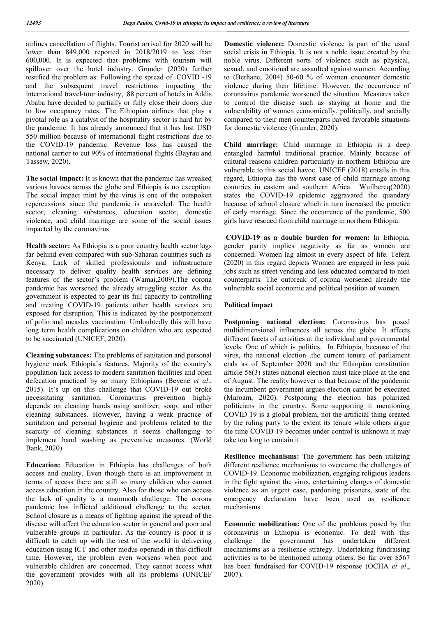airlines cancellation of flights. Tourist arrival for 2020 will be lower than 849,000 reported in 2018/2019 to less than 600,000. It is expected that problems with tourism will spillover over the hotel industry. Grunder (2020) further testified the problem as: Following the spread of COVID -19 and the subsequent travel restrictions impacting the international travel-tour industry, 88 percent of hotels in Addis Ababa have decided to partially or fully close their doors due to low occupancy rates. The Ethiopian airlines that play a pivotal role as a catalyst of the hospitality sector is hard hit by the pandemic. It has already announced that it has lost USD 550 million because of international flight restrictions due to the COVID-19 pandemic. Revenue loss has caused the national carrier to cut 90% of international flights (Bayrau and Tassew, 2020).

**The social impact:** It is known that the pandemic has wreaked various havocs across the globe and Ethiopia is no exception. The social impact mint by the virus is one of the outspoken repercussions since the pandemic is unraveled. The health sector, cleaning substances, education sector, domestic violence, and child marriage are some of the social issues impacted by the coronavirus

**Health sector:** As Ethiopia is a poor country health sector lags far behind even compared with sub-Saharan countries such as Kenya. Lack of skilled professionals and infrastructure necessary to deliver quality health services are defining features of the sector's problem (Wamai,2009).The corona pandemic has worsened the already struggling sector. As the government is expected to gear its full capacity to controlling and treating COVID-19 patients other health services are exposed for disruption. This is indicated by the postponement of polio and measles vaccination. Undoubtedly this will have long term health complications on children who are expected to be vaccinated (UNICEF, 2020)

**Cleaning substances:** The problems of sanitation and personal hygiene mark Ethiopia's features. Majority of the country's population lack access to modern sanitation facilities and open defecation practiced by so many Ethiopians (Beyene *et al*., 2015). It's up on this challenge that COVID-19 out broke necessitating sanitation. Coronavirus prevention highly depends on cleaning hands using sanitizer, soap, and other cleaning substances. However, having a weak practice of sanitation and personal hygiene and problems related to the scarcity of cleaning substances it seems challenging to implement hand washing as preventive measures. (World Bank, 2020)

**Education:** Education in Ethiopia has challenges of both access and quality. Even though there is an improvement in terms of access there are still so many children who cannot access education in the country. Also for those who can access the lack of quality is a mammoth challenge. The corona pandemic has inflicted additional challenge to the sector. School closure as a means of fighting against the spread of the disease will affect the education sector in general and poor and vulnerable groups in particular. As the country is poor it is difficult to catch up with the rest of the world in delivering education using ICT and other modus operandi in this difficult time. However, the problem even worsens when poor and vulnerable children are concerned. They cannot access what the government provides with all its problems (UNICEF 2020).

**Domestic violence:** Domestic violence is part of the usual social crisis in Ethiopia. It is not a noble issue created by the noble virus. Different sorts of violence such as physical, sexual, and emotional are assaulted against women. According to (Berhane, 2004) 50-60 % of women encounter domestic violence during their lifetime. However, the occurrence of coronavirus pandemic worsened the situation. Measures taken to control the disease such as staying at home and the vulnerability of women economically, politically, and socially compared to their men counterparts paved favorable situations for domestic violence (Grunder, 2020).

**Child marriage:** Child marriage in Ethiopia is a deep entangled harmful traditional practice. Mainly because of cultural reasons children particularly in northern Ethiopia are vulnerable to this social havoc. UNICEF (2018) entails in this regard, Ethiopia has the worst case of child marriage among countries in eastern and southern Africa. Wuilbercq(2020) states the COVID-19 epidemic aggravated the quandary because of school closure which in turn increased the practice of early marriage. Since the occurrence of the pandemic, 500 girls have rescued from child marriage in northern Ethiopia.

**COVID-19 as a double burden for women:** In Ethiopia, gender parity implies negativity as far as women are concerned. Women lag almost in every aspect of life. Tefera (2020) in this regard depicts Women are engaged in less paid jobs such as street vending and less educated compared to men counterparts. The outbreak of corona worsened already the vulnerable social economic and political position of women.

### **Political impact**

Postponing national election: Coronavirus has posed multidimensional influences all across the globe. It affects different facets of activities at the individual and governmental levels. One of which is politics. In Ethiopia, because of the virus, the national election .the current tenure of parliament ends as of September 2020 and the Ethiopian constitution article 58(3) states national election must take place at the end of August. The reality however is that because of the pandemic the incumbent government argues election cannot be executed (Maroam, 2020). Postponing the election has polarized politicians in the country. Some supporting it mentioning COVID 19 is a global problem, not the artificial thing created by the ruling party to the extent its tenure while others argue the time COVID 19 becomes under control is unknown it may take too long to contain it.

**Resilience mechanisms:** The government has been utilizing different resilience mechanisms to overcome the challenges of COVID-19. Economic mobilization, engaging religious leaders in the fight against the virus, entertaining charges of domestic violence as an urgent case, pardoning prisoners, state of the emergency declaration have been used as resilience mechanisms.

**Economic mobilization:** One of the problems posed by the coronavirus in Ethiopia is economic. To deal with this challenge the government has undertaken different mechanisms as a resilience strategy. Undertaking fundraising activities is to be mentioned among others. So far over \$567 has been fundraised for COVID-19 response (OCHA *et al*., 2007).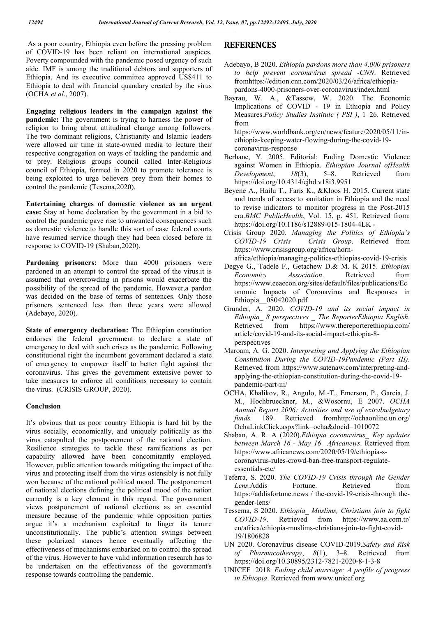As a poor country, Ethiopia even before the pressing problem of COVID-19 has been reliant on international auspices. Poverty compounded with the pandemic posed urgency of such aide. IMF is among the traditional debtors and supporters of Ethiopia. And its executive committee approved US\$411 to Ethiopia to deal with financial quandary created by the virus (OCHA *et al*., 2007).

**Engaging religious leaders in the campaign against the pandemic:** The government is trying to harness the power of religion to bring about attitudinal change among followers. The two dominant religions, Christianity and Islamic leaders were allowed air time in state-owned media to lecture their respective congregation on ways of tackling the pandemic and to prey. Religious groups council called Inter-Religious council of Ethiopia, formed in 2020 to promote tolerance is being exploited to urge believers prey from their homes to control the pandemic (Tesema,2020).

**Entertaining charges of domestic violence as an urgent case:** Stay at home declaration by the government in a bid to control the pandemic gave rise to unwanted consequences such as domestic violence.to handle this sort of case federal courts have resumed service though they had been closed before in response to COVID-19 (Shaban,2020).

Pardoning prisoners: More than 4000 prisoners were pardoned in an attempt to control the spread of the virus.it is assumed that overcrowding in prisons would exacerbate the possibility of the spread of the pandemic. However,a pardon was decided on the base of terms of sentences. Only those prisoners sentenced less than three years were allowed (Adebayo, 2020).

**State of emergency declaration:** The Ethiopian constitution endorses the federal government to declare a state of emergency to deal with such crises as the pandemic. Following constitutional right the incumbent government declared a state of emergency to empower itself to better fight against the coronavirus. This gives the government extensive power to take measures to enforce all conditions necessary to contain the virus. (CRISIS GROUP, 2020).

### **Conclusion**

It's obvious that as poor country Ethiopia is hard hit by the virus socially, economically, and uniquely politically as the virus catapulted the postponement of the national election. Resilience strategies to tackle these ramifications as per capability allowed have been concomitantly employed. However, public attention towards mitigating the impact of the virus and protecting itself from the virus ostensibly is not fully won because of the national political mood. The postponement of national elections defining the political mood of the nation currently is a key element in this regard. The government views postponement of national elections as an essential measure because of the pandemic while opposition parties argue it's a mechanism exploited to linger its tenure unconstitutionally. The public's attention swings between these polarized stances hence eventually affecting the effectiveness of mechanisms embarked on to control the spread of the virus. However to have valid information research has to be undertaken on the effectiveness of the government's response towards controlling the pandemic.

# **REFERENCES**

- Adebayo, B 2020. *Ethiopia pardons more than 4,000 prisoners to help prevent coronavirus spread -CNN*. Retrieved fromhttps://edition.cnn.com/2020/03/26/africa/ethiopiapardons-4000-prisoners-over-coronavirus/index.html
- Bayrau, W. A., &Tassew, W. 2020. The Economic Implications of COVID - 19 in Ethiopia and Policy Measures.*Policy Studies Institute ( PSI )*, 1–26. Retrieved from https://www.worldbank.org/en/news/feature/2020/05/11/inethiopia-keeping-water-flowing-during-the-covid-19 coronavirus-response
- Berhane, Y. 2005. Editorial: Ending Domestic Violence against Women in Ethiopia. *Ethiopian Journal ofHealth Development*, *18*(3), 5–8. Retrieved from https://doi.org/10.4314/ejhd.v18i3.9951
- Beyene A., Hailu T., Faris K., &Kloos H. 2015. Current state and trends of access to sanitation in Ethiopia and the need to revise indicators to monitor progress in the Post-2015 era.*BMC PublicHealth*, Vol. 15, p. 451. Retrieved from: https://doi.org/10.1186/s12889-015-1804-4LK -
- Crisis Group 2020. *Managing the Politics of Ethiopia's COVID-19 Crisis \_ Crisis Group*. Retrieved from https://www.crisisgroup.org/africa/horn-
- africa/ethiopia/managing-politics-ethiopias-covid-19-crisis Degye G., Tadele F., Getachew D.& M. K 2015. *Ethiopian Economics Association*. Retrieved from https://www.eeaecon.org/sites/default/files/publications/Ec onomic Impacts of Coronavirus and Responses in Ethiopia\_\_08042020.pdf
- Grunder, A. 2020. *COVID-19 and its social impact in Ethiopia\_ 8 perspectives \_ The ReporterEthiopia English*. Retrieved from https://www.thereporterethiopia.com/ article/covid-19-and-its-social-impact-ethiopia-8 perspectives
- Maroam, A. G. 2020. *Interpreting and Applying the Ethiopian Constitution During the COVID-19Pandemic (Part III)*. Retrieved from https://www.satenaw.com/interpreting-andapplying-the-ethiopian-constitution-during-the-covid-19 pandemic-part-iii/
- OCHA, Khalikov, R., Angulo, M.-T., Emerson, P., Garcia, J. M., Hochbrueckner, M., &Wosornu, E 2007. *OCHA Annual Report 2006: Activities and use of extrabudgetary funds.* 189. Retrieved fromhttp://ochaonline.un.org/ OchaLinkClick.aspx?link=ocha&docid=1010072
- Shaban, A. R. A (2020).*Ethiopia coronavirus\_ Key updates between March 16 - May 16 \_Africanews*. Retrieved from https://www.africanews.com/2020/05/19/ethiopia-scoronavirus-rules-crowd-ban-free-transport-regulateessentials-etc/
- Teferra, S. 2020. *The COVID-19 Crisis through the Gender Lens*.Addis Fortune. Retrieved from https://addisfortune.news / the-covid-19-crisis-through thegender-lens/
- Tessema, S 2020. *Ethiopia\_ Muslims, Christians join to fight COVID-19*. Retrieved from https://www.aa.com.tr/ en/africa/ethiopia-muslims-christians-join-to-fight-covid-19/1806828
- UN 2020. Coronavirus disease COVID-2019.*Safety and Risk of Pharmacotherapy*, *8*(1), 3–8. Retrieved from https://doi.org/10.30895/2312-7821-2020-8-1-3-8
- UNICEF 2018. *Ending child marriage: A profile of progress in Ethiopia*. Retrieved from www.unicef.org